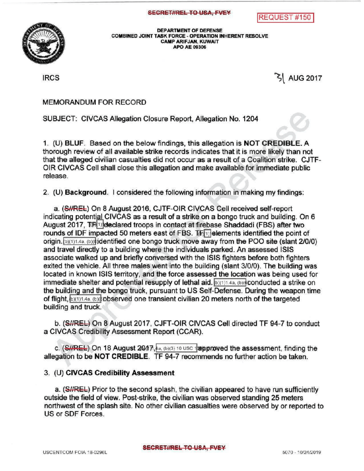REQUEST # 150



DEPARTMENT OF DEFENSE<br>COMBINED JOINT TASK FORCE - OPERATION IN<br>CAMP ARIFJAN, KUWAIT COMBINED JOINT TASK FORCE - OPERATION INHERENT RESOLVE CAMP ARIFJAN, KUWAIT APO AE 09306

 $\left| \text{RCS} \right|$  AUG 2017

MEMORANDUM FOR RECORD

SUBJECT: CIVCAS Allegation Closure Report, Allegation No. 1204

1. (U) BLUF. Based on the below findings, this allegation is NOT CREDIBLE. A thorough reviewof all available strike records indicates that it is more likely than not that the alleged civilian casualties did not occur as a result of a Coalition strike. CJTF-OIR CIVCAS Cell shall close this allegation and make available for immediate public release.

2. (U) Background. I considered the following information in making my findings:

a. (SHREL) On 8 August 2016, CJTF-OIR CIVCAS Cell received self-report indicating potential CIVCAS as a result of a strike on a bongo truck and building. On 6 August 2017,  $TR[1]$  declared troops in contact at firebase Shaddadi (FBS) after two rounds of IDF impacted 50 meters east of FBS.  $T_{\text{eff}}$  elements identified the point of origin.  $b)$ (1)1.4a,  $(b)$ ( $\phi$ ) dentified one bongo truck move away from the POO site (slant 2/0/0) and travel directly to a building where the individuals parked. An assessed ISIS associate walked up and briefly conversed with the ISIS fighters before both fighters exited the vehicle. All three males went into the building (slant 3/0/0). The building was located in known ISIS territory, and the force assessed the location was being used for immediate shelter and potential resupply of lethal aid.  $\mathbf{b}$  (1) 4a, (b) conducted a strike on the building and the bongo truck , pursuant to US Self-Defense. During the weapon time of flight,  $b)(1)1.4a$ ,  $(b)(b)$  betweed one transient civilian 20 meters north of the targeted building and truck.

b. (SI/REL) On 8 August 2017, CJFT-OIR CIVCAS Cell directed TF 94-7 to conduct a CIVCAS Credibility Assessment Report (CCAR ).

c.  $(SHREL)$  On 18 August  $20.17$ ,  $4a$ , (b)(3) 10 USC 12 approved the assessment, finding the allegation to be **NOT CREDIBLE**. TF 94-7 recommends no further action be taken.

## 3. (U) CIVCAS Credibility Assessment

a. (SI/REL) Prior to the second splash, the civilian appeared to have run sufficiently outside the field of view. Post-strike, the civilian was observed standing 25 meters northwest of the splash site. No other civilian casualties were observed by or reported to US or SDF Forces.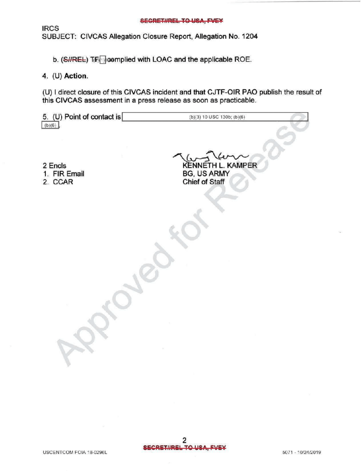## **SECRET#REL TO USA, FVEY**

**IRCS** SUBJECT: CIVCAS Allegation Closure Report, Allegation No. 1204

b. (S//REL) T(F) complied with LOAC and the applicable ROE.

## 4. (U) Action.

(U) I direct closure of this CIVCAS incident and that CJTF-OIR PAO publish the result of this CIVCAS assessment in a press release as soon as practicable.

| 5. (U) Point of contact is<br>$(b)(6)$ . | (b)(3) 10 USC 130b; (b)(6)                                       |
|------------------------------------------|------------------------------------------------------------------|
| 2 Encls<br>1. FIR Email<br>2. CCAR       | <b>KENNETH L. KAMPER</b><br><b>BG, US ARMY</b><br>Chief of Staff |
|                                          |                                                                  |
|                                          |                                                                  |